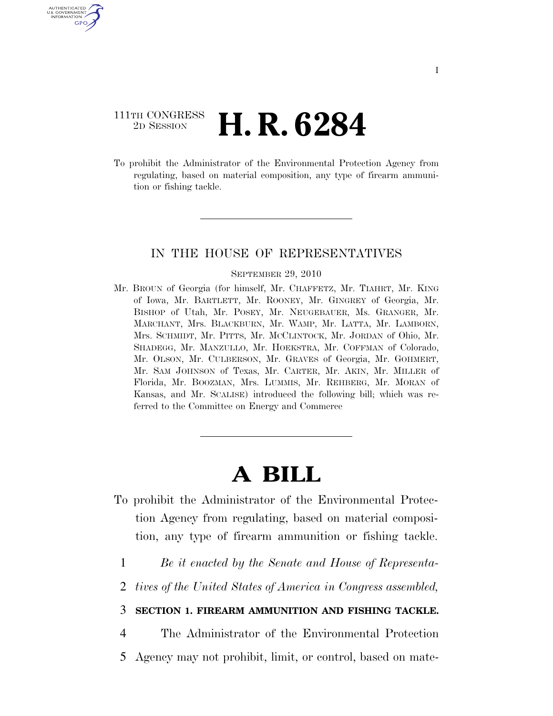## 111TH CONGRESS <sup>2D SESSION</sup> **H. R. 6284**

AUTHENTICATED U.S. GOVERNMENT GPO

> To prohibit the Administrator of the Environmental Protection Agency from regulating, based on material composition, any type of firearm ammunition or fishing tackle.

### IN THE HOUSE OF REPRESENTATIVES

#### SEPTEMBER 29, 2010

Mr. BROUN of Georgia (for himself, Mr. CHAFFETZ, Mr. TIAHRT, Mr. KING of Iowa, Mr. BARTLETT, Mr. ROONEY, Mr. GINGREY of Georgia, Mr. BISHOP of Utah, Mr. POSEY, Mr. NEUGEBAUER, Ms. GRANGER, Mr. MARCHANT, Mrs. BLACKBURN, Mr. WAMP, Mr. LATTA, Mr. LAMBORN, Mrs. SCHMIDT, Mr. PITTS, Mr. MCCLINTOCK, Mr. JORDAN of Ohio, Mr. SHADEGG, Mr. MANZULLO, Mr. HOEKSTRA, Mr. COFFMAN of Colorado, Mr. OLSON, Mr. CULBERSON, Mr. GRAVES of Georgia, Mr. GOHMERT, Mr. SAM JOHNSON of Texas, Mr. CARTER, Mr. AKIN, Mr. MILLER of Florida, Mr. BOOZMAN, Mrs. LUMMIS, Mr. REHBERG, Mr. MORAN of Kansas, and Mr. SCALISE) introduced the following bill; which was referred to the Committee on Energy and Commerce

# **A BILL**

- To prohibit the Administrator of the Environmental Protection Agency from regulating, based on material composition, any type of firearm ammunition or fishing tackle.
	- 1 *Be it enacted by the Senate and House of Representa-*
	- 2 *tives of the United States of America in Congress assembled,*

#### 3 **SECTION 1. FIREARM AMMUNITION AND FISHING TACKLE.**

- 4 The Administrator of the Environmental Protection
- 5 Agency may not prohibit, limit, or control, based on mate-